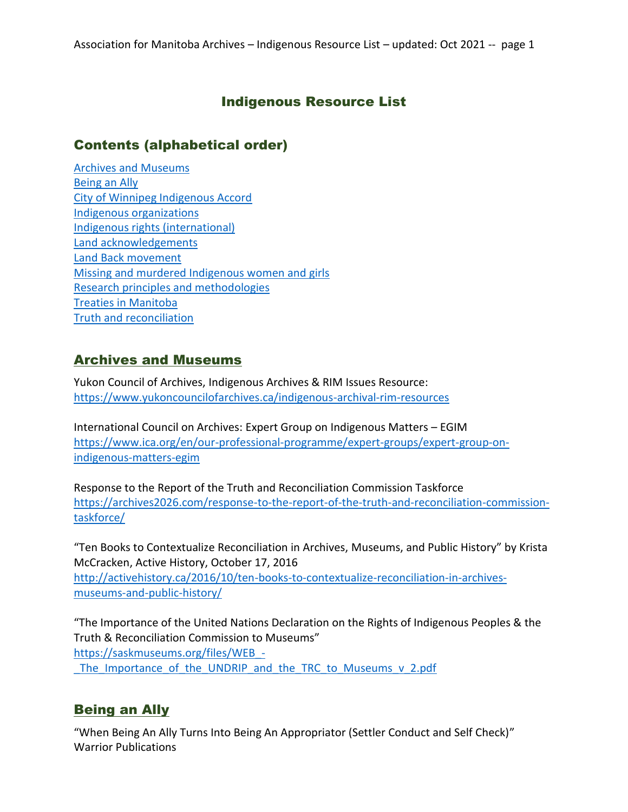### Indigenous Resource List

#### Contents (alphabetical order)

[Archives and Museums](#page-0-0) [Being an Ally](#page-0-1) [City of Winnipeg Indigenous Accord](#page-1-0) [Indigenous organizations](#page-1-1) [Indigenous rights](#page-2-0) (international) Land acknowledgements [Land Back movement](#page-4-0) [Missing and murdered Indigenous women and girls](#page-4-1) [Research principles and methodologies](#page-4-2) [Treaties in Manitoba](#page-5-0) [Truth and reconciliation](#page-5-1)

#### <span id="page-0-0"></span>Archives and Museums

Yukon Council of Archives, Indigenous Archives & RIM Issues Resource: <https://www.yukoncouncilofarchives.ca/indigenous-archival-rim-resources>

International Council on Archives: Expert Group on Indigenous Matters – EGIM [https://www.ica.org/en/our-professional-programme/expert-groups/expert-group-on](https://www.ica.org/en/our-professional-programme/expert-groups/expert-group-on-indigenous-matters-egim)[indigenous-matters-egim](https://www.ica.org/en/our-professional-programme/expert-groups/expert-group-on-indigenous-matters-egim)

Response to the Report of the Truth and Reconciliation Commission Taskforce [https://archives2026.com/response-to-the-report-of-the-truth-and-reconciliation-commission](https://archives2026.com/response-to-the-report-of-the-truth-and-reconciliation-commission-taskforce/)[taskforce/](https://archives2026.com/response-to-the-report-of-the-truth-and-reconciliation-commission-taskforce/)

"Ten Books to Contextualize Reconciliation in Archives, Museums, and Public History" by Krista McCracken, Active History, October 17, 2016 [http://activehistory.ca/2016/10/ten-books-to-contextualize-reconciliation-in-archives](http://activehistory.ca/2016/10/ten-books-to-contextualize-reconciliation-in-archives-museums-and-public-history/)[museums-and-public-history/](http://activehistory.ca/2016/10/ten-books-to-contextualize-reconciliation-in-archives-museums-and-public-history/)

"The Importance of the United Nations Declaration on the Rights of Indigenous Peoples & the Truth & Reconciliation Commission to Museums" [https://saskmuseums.org/files/WEB\\_-](https://saskmuseums.org/files/WEB_-_The_Importance_of_the_UNDRIP_and_the_TRC_to_Museums_v_2.pdf) The Importance of the UNDRIP and the TRC to Museums v 2.pdf

### <span id="page-0-1"></span>Being an Ally

"When Being An Ally Turns Into Being An Appropriator (Settler Conduct and Self Check)" Warrior Publications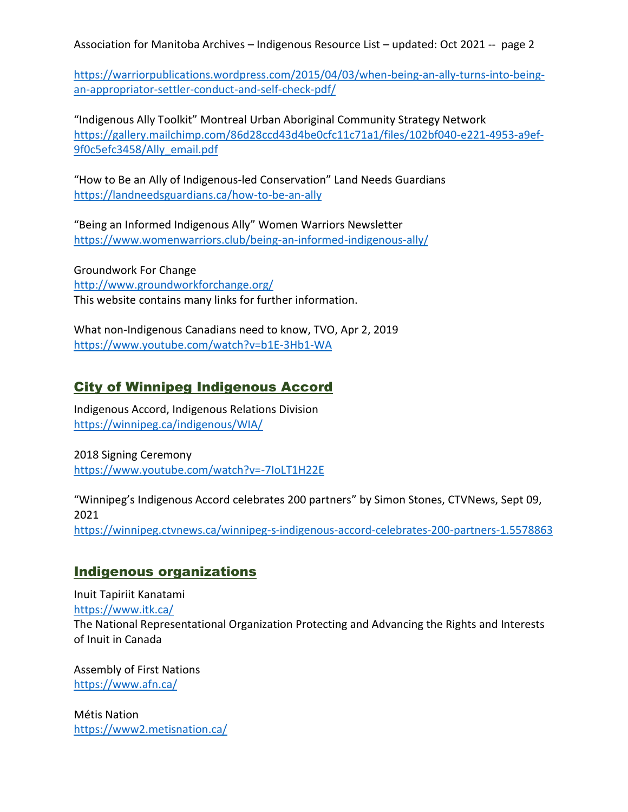[https://warriorpublications.wordpress.com/2015/04/03/when-being-an-ally-turns-into-being](https://warriorpublications.wordpress.com/2015/04/03/when-being-an-ally-turns-into-being-an-appropriator-settler-conduct-and-self-check-pdf/)[an-appropriator-settler-conduct-and-self-check-pdf/](https://warriorpublications.wordpress.com/2015/04/03/when-being-an-ally-turns-into-being-an-appropriator-settler-conduct-and-self-check-pdf/)

"Indigenous Ally Toolkit" Montreal Urban Aboriginal Community Strategy Network [https://gallery.mailchimp.com/86d28ccd43d4be0cfc11c71a1/files/102bf040-e221-4953-a9ef-](https://gallery.mailchimp.com/86d28ccd43d4be0cfc11c71a1/files/102bf040-e221-4953-a9ef-9f0c5efc3458/Ally_email.pdf)[9f0c5efc3458/Ally\\_email.pdf](https://gallery.mailchimp.com/86d28ccd43d4be0cfc11c71a1/files/102bf040-e221-4953-a9ef-9f0c5efc3458/Ally_email.pdf)

"How to Be an Ally of Indigenous-led Conservation" Land Needs Guardians <https://landneedsguardians.ca/how-to-be-an-ally>

"Being an Informed Indigenous Ally" Women Warriors Newsletter <https://www.womenwarriors.club/being-an-informed-indigenous-ally/>

Groundwork For Change <http://www.groundworkforchange.org/> This website contains many links for further information.

What non-Indigenous Canadians need to know, TVO, Apr 2, 2019 <https://www.youtube.com/watch?v=b1E-3Hb1-WA>

### <span id="page-1-0"></span>City of Winnipeg Indigenous Accord

Indigenous Accord, Indigenous Relations Division <https://winnipeg.ca/indigenous/WIA/>

2018 Signing Ceremony <https://www.youtube.com/watch?v=-7IoLT1H22E>

<span id="page-1-1"></span>"Winnipeg's Indigenous Accord celebrates 200 partners" by Simon Stones, CTVNews, Sept 09, 2021 <https://winnipeg.ctvnews.ca/winnipeg-s-indigenous-accord-celebrates-200-partners-1.5578863>

### Indigenous organizations

Inuit Tapiriit Kanatami <https://www.itk.ca/> The National Representational Organization Protecting and Advancing the Rights and Interests of Inuit in Canada

Assembly of First Nations <https://www.afn.ca/>

Métis Nation <https://www2.metisnation.ca/>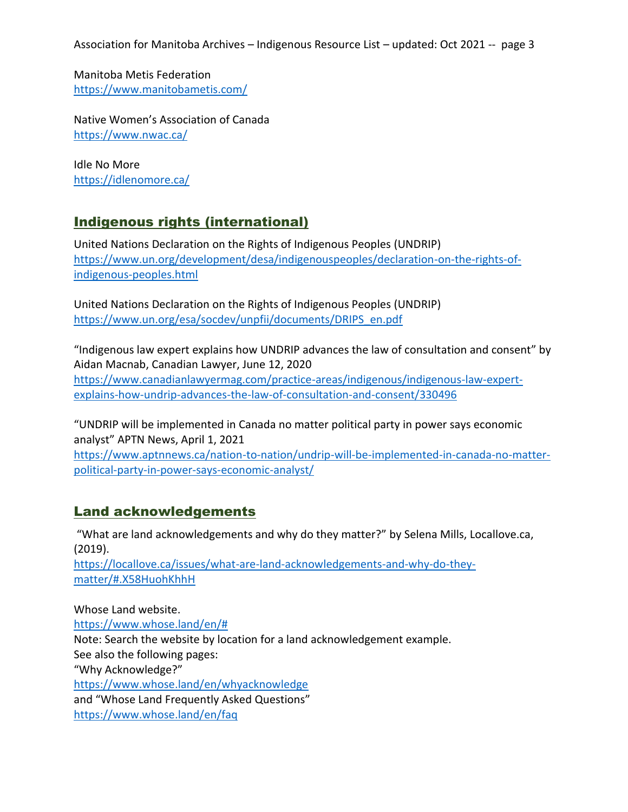Manitoba Metis Federation <https://www.manitobametis.com/>

Native Women's Association of Canada <https://www.nwac.ca/>

Idle No More <https://idlenomore.ca/>

# <span id="page-2-0"></span>Indigenous rights (international)

United Nations Declaration on the Rights of Indigenous Peoples (UNDRIP) [https://www.un.org/development/desa/indigenouspeoples/declaration-on-the-rights-of](https://www.un.org/development/desa/indigenouspeoples/declaration-on-the-rights-of-indigenous-peoples.html)[indigenous-peoples.html](https://www.un.org/development/desa/indigenouspeoples/declaration-on-the-rights-of-indigenous-peoples.html)

United Nations Declaration on the Rights of Indigenous Peoples (UNDRIP) [https://www.un.org/esa/socdev/unpfii/documents/DRIPS\\_en.pdf](https://www.un.org/esa/socdev/unpfii/documents/DRIPS_en.pdf)

"Indigenous law expert explains how UNDRIP advances the law of consultation and consent" by Aidan Macnab, Canadian Lawyer, June 12, 2020 [https://www.canadianlawyermag.com/practice-areas/indigenous/indigenous-law-expert](https://www.canadianlawyermag.com/practice-areas/indigenous/indigenous-law-expert-explains-how-undrip-advances-the-law-of-consultation-and-consent/330496)[explains-how-undrip-advances-the-law-of-consultation-and-consent/330496](https://www.canadianlawyermag.com/practice-areas/indigenous/indigenous-law-expert-explains-how-undrip-advances-the-law-of-consultation-and-consent/330496)

"UNDRIP will be implemented in Canada no matter political party in power says economic analyst" APTN News, April 1, 2021 [https://www.aptnnews.ca/nation-to-nation/undrip-will-be-implemented-in-canada-no-matter](https://www.aptnnews.ca/nation-to-nation/undrip-will-be-implemented-in-canada-no-matter-political-party-in-power-says-economic-analyst/)[political-party-in-power-says-economic-analyst/](https://www.aptnnews.ca/nation-to-nation/undrip-will-be-implemented-in-canada-no-matter-political-party-in-power-says-economic-analyst/)

### Land acknowledgements

"What are land acknowledgements and why do they matter?" by Selena Mills, Locallove.ca, (2019).

[https://locallove.ca/issues/what-are-land-acknowledgements-and-why-do-they](https://locallove.ca/issues/what-are-land-acknowledgements-and-why-do-they-matter/#.X58HuohKhhH)[matter/#.X58HuohKhhH](https://locallove.ca/issues/what-are-land-acknowledgements-and-why-do-they-matter/#.X58HuohKhhH)

Whose Land website. [https://www.whose.land/en/#](https://www.whose.land/en/) Note: Search the website by location for a land acknowledgement example. See also the following pages: "Why Acknowledge?" <https://www.whose.land/en/whyacknowledge> and "Whose Land Frequently Asked Questions" <https://www.whose.land/en/faq>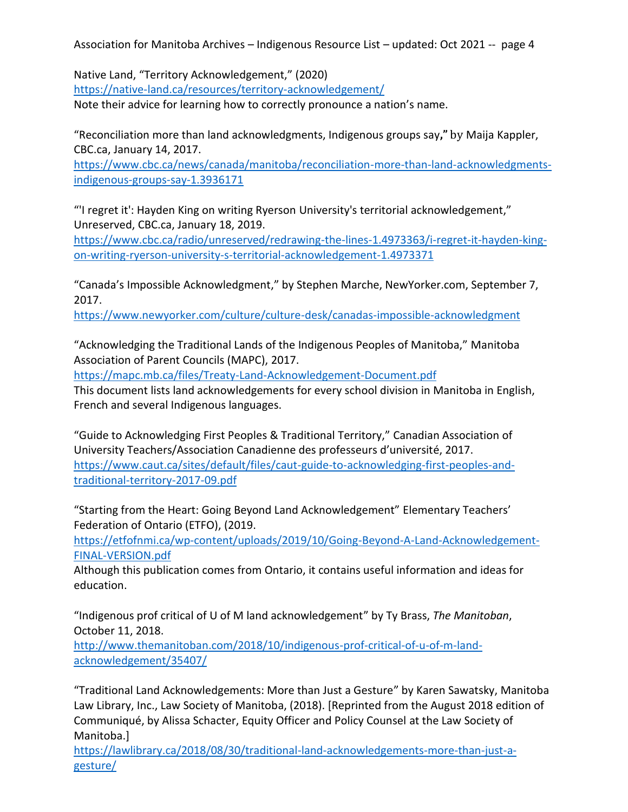Native Land, "Territory Acknowledgement," (2020) <https://native-land.ca/resources/territory-acknowledgement/>

Note their advice for learning how to correctly pronounce a nation's name.

"Reconciliation more than land acknowledgments, Indigenous groups say**,"** by Maija Kappler, CBC.ca, January 14, 2017.

[https://www.cbc.ca/news/canada/manitoba/reconciliation-more-than-land-acknowledgments](https://www.cbc.ca/news/canada/manitoba/reconciliation-more-than-land-acknowledgments-indigenous-groups-say-1.3936171)[indigenous-groups-say-1.3936171](https://www.cbc.ca/news/canada/manitoba/reconciliation-more-than-land-acknowledgments-indigenous-groups-say-1.3936171)

"'I regret it': Hayden King on writing Ryerson University's territorial acknowledgement," Unreserved, CBC.ca, January 18, 2019.

[https://www.cbc.ca/radio/unreserved/redrawing-the-lines-1.4973363/i-regret-it-hayden-king](https://www.cbc.ca/radio/unreserved/redrawing-the-lines-1.4973363/i-regret-it-hayden-king-on-writing-ryerson-university-s-territorial-acknowledgement-1.4973371)[on-writing-ryerson-university-s-territorial-acknowledgement-1.4973371](https://www.cbc.ca/radio/unreserved/redrawing-the-lines-1.4973363/i-regret-it-hayden-king-on-writing-ryerson-university-s-territorial-acknowledgement-1.4973371)

"Canada's Impossible Acknowledgment," by Stephen Marche, NewYorker.com, September 7, 2017.

<https://www.newyorker.com/culture/culture-desk/canadas-impossible-acknowledgment>

"Acknowledging the Traditional Lands of the Indigenous Peoples of Manitoba," Manitoba Association of Parent Councils (MAPC), 2017.

<https://mapc.mb.ca/files/Treaty-Land-Acknowledgement-Document.pdf>

This document lists land acknowledgements for every school division in Manitoba in English, French and several Indigenous languages.

"Guide to Acknowledging First Peoples & Traditional Territory," Canadian Association of University Teachers/Association Canadienne des professeurs d'université, 2017. [https://www.caut.ca/sites/default/files/caut-guide-to-acknowledging-first-peoples-and](https://www.caut.ca/sites/default/files/caut-guide-to-acknowledging-first-peoples-and-traditional-territory-2017-09.pdf)[traditional-territory-2017-09.pdf](https://www.caut.ca/sites/default/files/caut-guide-to-acknowledging-first-peoples-and-traditional-territory-2017-09.pdf)

"Starting from the Heart: Going Beyond Land Acknowledgement" Elementary Teachers' Federation of Ontario (ETFO), (2019.

[https://etfofnmi.ca/wp-content/uploads/2019/10/Going-Beyond-A-Land-Acknowledgement-](https://etfofnmi.ca/wp-content/uploads/2019/10/Going-Beyond-A-Land-Acknowledgement-FINAL-VERSION.pdf)[FINAL-VERSION.pdf](https://etfofnmi.ca/wp-content/uploads/2019/10/Going-Beyond-A-Land-Acknowledgement-FINAL-VERSION.pdf)

Although this publication comes from Ontario, it contains useful information and ideas for education.

"Indigenous prof critical of U of M land acknowledgement" by Ty Brass, *The Manitoban*, October 11, 2018.

[http://www.themanitoban.com/2018/10/indigenous-prof-critical-of-u-of-m-land](http://www.themanitoban.com/2018/10/indigenous-prof-critical-of-u-of-m-land-acknowledgement/35407/)[acknowledgement/35407/](http://www.themanitoban.com/2018/10/indigenous-prof-critical-of-u-of-m-land-acknowledgement/35407/)

"Traditional Land Acknowledgements: More than Just a Gesture" by Karen Sawatsky, Manitoba Law Library, Inc., Law Society of Manitoba, (2018). [Reprinted from the August 2018 edition of Communiqué, by Alissa Schacter, Equity Officer and Policy Counsel at the Law Society of Manitoba.]

[https://lawlibrary.ca/2018/08/30/traditional-land-acknowledgements-more-than-just-a](https://lawlibrary.ca/2018/08/30/traditional-land-acknowledgements-more-than-just-a-gesture/)[gesture/](https://lawlibrary.ca/2018/08/30/traditional-land-acknowledgements-more-than-just-a-gesture/)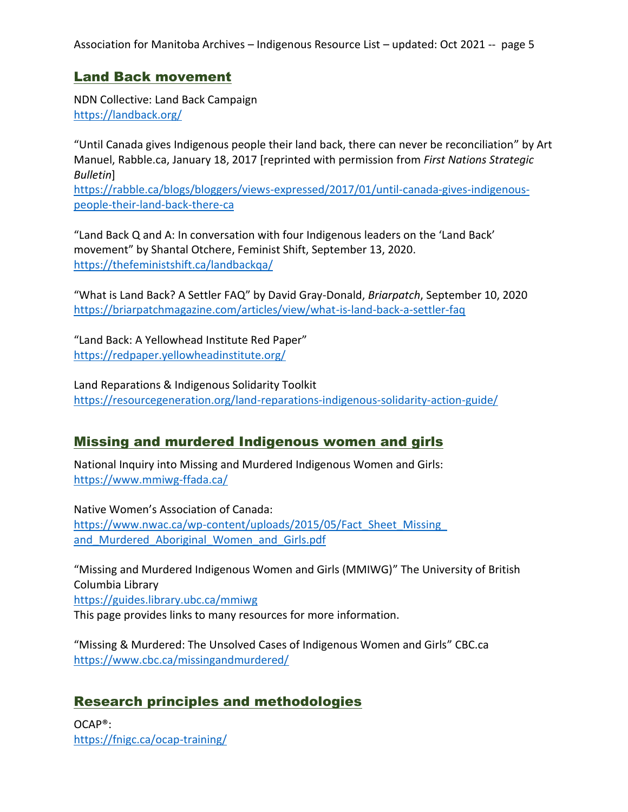#### <span id="page-4-0"></span>Land Back movement

NDN Collective: Land Back Campaign <https://landback.org/>

"Until Canada gives Indigenous people their land back, there can never be reconciliation" by Art Manuel, Rabble.ca, January 18, 2017 [reprinted with permission from *First Nations Strategic Bulletin*]

[https://rabble.ca/blogs/bloggers/views-expressed/2017/01/until-canada-gives-indigenous](https://rabble.ca/blogs/bloggers/views-expressed/2017/01/until-canada-gives-indigenous-people-their-land-back-there-ca)[people-their-land-back-there-ca](https://rabble.ca/blogs/bloggers/views-expressed/2017/01/until-canada-gives-indigenous-people-their-land-back-there-ca)

"Land Back Q and A: In conversation with four Indigenous leaders on the 'Land Back' movement" by Shantal Otchere, Feminist Shift, September 13, 2020. <https://thefeministshift.ca/landbackqa/>

"What is Land Back? A Settler FAQ" by David Gray-Donald, *Briarpatch*, September 10, 2020 <https://briarpatchmagazine.com/articles/view/what-is-land-back-a-settler-faq>

"Land Back: A Yellowhead Institute Red Paper" <https://redpaper.yellowheadinstitute.org/>

Land Reparations & Indigenous Solidarity Toolkit <https://resourcegeneration.org/land-reparations-indigenous-solidarity-action-guide/>

### <span id="page-4-1"></span>Missing and murdered Indigenous women and girls

National Inquiry into Missing and Murdered Indigenous Women and Girls: <https://www.mmiwg-ffada.ca/>

Native Women's Association of Canada: https://www.nwac.ca/wp-content/uploads/2015/05/Fact\_Sheet\_Missing and Murdered Aboriginal Women and Girls.pdf

"Missing and Murdered Indigenous Women and Girls (MMIWG)" The University of British Columbia Library

<https://guides.library.ubc.ca/mmiwg>

This page provides links to many resources for more information.

"Missing & Murdered: The Unsolved Cases of Indigenous Women and Girls" CBC.ca <https://www.cbc.ca/missingandmurdered/>

### <span id="page-4-2"></span>Research principles and methodologies

OCAP®: <https://fnigc.ca/ocap-training/>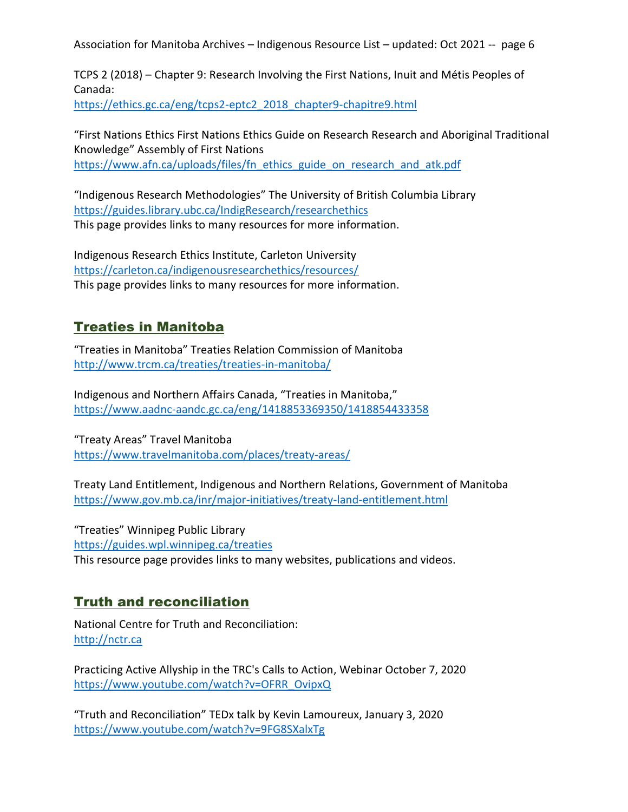TCPS 2 (2018) – Chapter 9: Research Involving the First Nations, Inuit and Métis Peoples of Canada: [https://ethics.gc.ca/eng/tcps2-eptc2\\_2018\\_chapter9-chapitre9.html](https://ethics.gc.ca/eng/tcps2-eptc2_2018_chapter9-chapitre9.html)

"First Nations Ethics First Nations Ethics Guide on Research Research and Aboriginal Traditional Knowledge" Assembly of First Nations [https://www.afn.ca/uploads/files/fn\\_ethics\\_guide\\_on\\_research\\_and\\_atk.pdf](https://www.afn.ca/uploads/files/fn_ethics_guide_on_research_and_atk.pdf)

"Indigenous Research Methodologies" The University of British Columbia Library <https://guides.library.ubc.ca/IndigResearch/researchethics> This page provides links to many resources for more information.

Indigenous Research Ethics Institute, Carleton University <https://carleton.ca/indigenousresearchethics/resources/> This page provides links to many resources for more information.

# <span id="page-5-0"></span>Treaties in Manitoba

"Treaties in Manitoba" Treaties Relation Commission of Manitoba <http://www.trcm.ca/treaties/treaties-in-manitoba/>

Indigenous and Northern Affairs Canada, "Treaties in Manitoba," <https://www.aadnc-aandc.gc.ca/eng/1418853369350/1418854433358>

"Treaty Areas" Travel Manitoba <https://www.travelmanitoba.com/places/treaty-areas/>

Treaty Land Entitlement, Indigenous and Northern Relations, Government of Manitoba <https://www.gov.mb.ca/inr/major-initiatives/treaty-land-entitlement.html>

"Treaties" Winnipeg Public Library <https://guides.wpl.winnipeg.ca/treaties> This resource page provides links to many websites, publications and videos.

### <span id="page-5-1"></span>Truth and reconciliation

National Centre for Truth and Reconciliation: [http://nctr.ca](http://nctr.ca/) 

Practicing Active Allyship in the TRC's Calls to Action, Webinar October 7, 2020 [https://www.youtube.com/watch?v=OFRR\\_OvipxQ](https://www.youtube.com/watch?v=OFRR_OvipxQ)

"Truth and Reconciliation" TEDx talk by Kevin Lamoureux, January 3, 2020 <https://www.youtube.com/watch?v=9FG8SXalxTg>